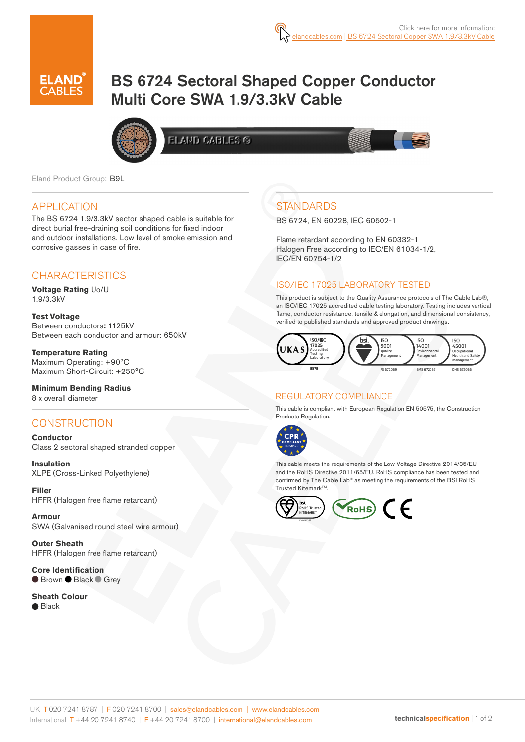

# BS 6724 Sectoral Shaped Copper Conductor Multi Core SWA 1.9/3.3kV Cable



ELAND CABLES G

Eland Product Group: B9L

### APPLICATION

The BS 6724 1.9/3.3kV sector shaped cable is suitable for direct burial free-draining soil conditions for fixed indoor and outdoor installations. Low level of smoke emission and corrosive gasses in case of fire.

### **CHARACTERISTICS**

**Voltage Rating** Uo/U 1.9/3.3kV

**Test Voltage** Between conductors**:** 1125kV Between each conductor and armour: 650kV

**Temperature Rating** Maximum Operating: +90ºC Maximum Short-Circuit: +250°C

**Minimum Bending Radius**  8 x overall diameter

## **CONSTRUCTION**

**Conductor** Class 2 sectoral shaped stranded copper

**Insulation** XLPE (Cross-Linked Polyethylene)

**Filler**  HFFR (Halogen free flame retardant)

**Armour** SWA (Galvanised round steel wire armour)

**Outer Sheath** HFFR (Halogen free flame retardant)

**Core Identification** ● Brown ● Black ● Grey

**Sheath Colour**

● Black

# **STANDARDS**

BS 6724, EN 60228, IEC 60502-1

Flame retardant according to EN 60332-1 Halogen Free according to IEC/EN 61034-1/2, IEC/EN 60754-1/2

#### ISO/IEC 17025 LABORATORY TESTED

This product is subject to the Quality Assurance protocols of The Cable Lab®, an ISO/IEC 17025 accredited cable testing laboratory. Testing includes vertical flame, conductor resistance, tensile & elongation, and dimensional consistency, verified to published standards and approved product drawings.



#### REGULATORY COMPLIANCE

This cable is compliant with European Regulation EN 50575, the Construction Products Regulation.



This cable meets the requirements of the Low Voltage Directive 2014/35/EU and the RoHS Directive 2011/65/EU. RoHS compliance has been tested and confirmed by The Cable Lab® as meeting the requirements of the BSI RoHS Trusted Kitemark™.